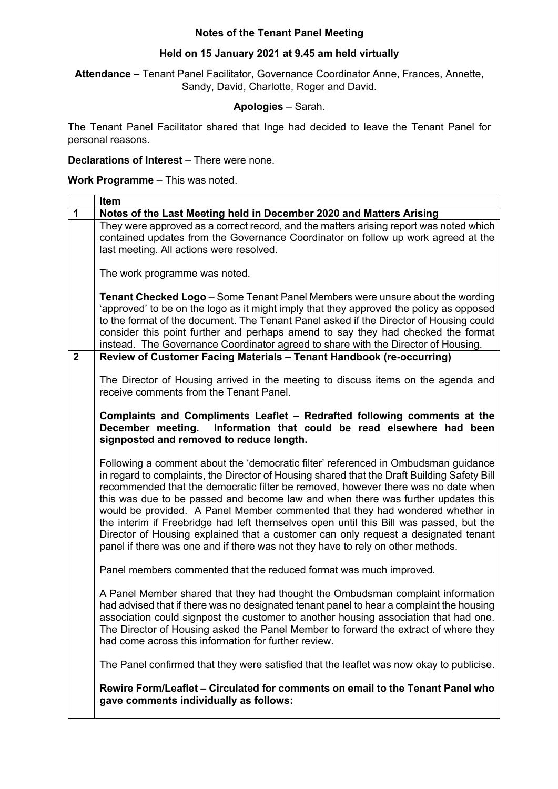## **Notes of the Tenant Panel Meeting**

## **Held on 15 January 2021 at 9.45 am held virtually**

**Attendance –** Tenant Panel Facilitator, Governance Coordinator Anne, Frances, Annette, Sandy, David, Charlotte, Roger and David.

## **Apologies** – Sarah.

The Tenant Panel Facilitator shared that Inge had decided to leave the Tenant Panel for personal reasons.

**Declarations of Interest** – There were none.

**Work Programme** – This was noted.

|                | Item                                                                                                                                                                                                                                                                                                                                                                                                                                                                                                                                                                                                                                                                                                           |
|----------------|----------------------------------------------------------------------------------------------------------------------------------------------------------------------------------------------------------------------------------------------------------------------------------------------------------------------------------------------------------------------------------------------------------------------------------------------------------------------------------------------------------------------------------------------------------------------------------------------------------------------------------------------------------------------------------------------------------------|
| $\mathbf{1}$   | Notes of the Last Meeting held in December 2020 and Matters Arising                                                                                                                                                                                                                                                                                                                                                                                                                                                                                                                                                                                                                                            |
|                | They were approved as a correct record, and the matters arising report was noted which<br>contained updates from the Governance Coordinator on follow up work agreed at the<br>last meeting. All actions were resolved.                                                                                                                                                                                                                                                                                                                                                                                                                                                                                        |
|                | The work programme was noted.                                                                                                                                                                                                                                                                                                                                                                                                                                                                                                                                                                                                                                                                                  |
|                | <b>Tenant Checked Logo</b> – Some Tenant Panel Members were unsure about the wording<br>'approved' to be on the logo as it might imply that they approved the policy as opposed<br>to the format of the document. The Tenant Panel asked if the Director of Housing could<br>consider this point further and perhaps amend to say they had checked the format<br>instead. The Governance Coordinator agreed to share with the Director of Housing.                                                                                                                                                                                                                                                             |
| $\overline{2}$ | Review of Customer Facing Materials - Tenant Handbook (re-occurring)                                                                                                                                                                                                                                                                                                                                                                                                                                                                                                                                                                                                                                           |
|                | The Director of Housing arrived in the meeting to discuss items on the agenda and<br>receive comments from the Tenant Panel.                                                                                                                                                                                                                                                                                                                                                                                                                                                                                                                                                                                   |
|                | Complaints and Compliments Leaflet - Redrafted following comments at the<br>December meeting. Information that could be read elsewhere had been<br>signposted and removed to reduce length.                                                                                                                                                                                                                                                                                                                                                                                                                                                                                                                    |
|                | Following a comment about the 'democratic filter' referenced in Ombudsman guidance<br>in regard to complaints, the Director of Housing shared that the Draft Building Safety Bill<br>recommended that the democratic filter be removed, however there was no date when<br>this was due to be passed and become law and when there was further updates this<br>would be provided. A Panel Member commented that they had wondered whether in<br>the interim if Freebridge had left themselves open until this Bill was passed, but the<br>Director of Housing explained that a customer can only request a designated tenant<br>panel if there was one and if there was not they have to rely on other methods. |
|                | Panel members commented that the reduced format was much improved.                                                                                                                                                                                                                                                                                                                                                                                                                                                                                                                                                                                                                                             |
|                | A Panel Member shared that they had thought the Ombudsman complaint information<br>had advised that if there was no designated tenant panel to hear a complaint the housing<br>association could signpost the customer to another housing association that had one.<br>The Director of Housing asked the Panel Member to forward the extract of where they<br>had come across this information for further review.                                                                                                                                                                                                                                                                                             |
|                | The Panel confirmed that they were satisfied that the leaflet was now okay to publicise.                                                                                                                                                                                                                                                                                                                                                                                                                                                                                                                                                                                                                       |
|                | Rewire Form/Leaflet – Circulated for comments on email to the Tenant Panel who<br>gave comments individually as follows:                                                                                                                                                                                                                                                                                                                                                                                                                                                                                                                                                                                       |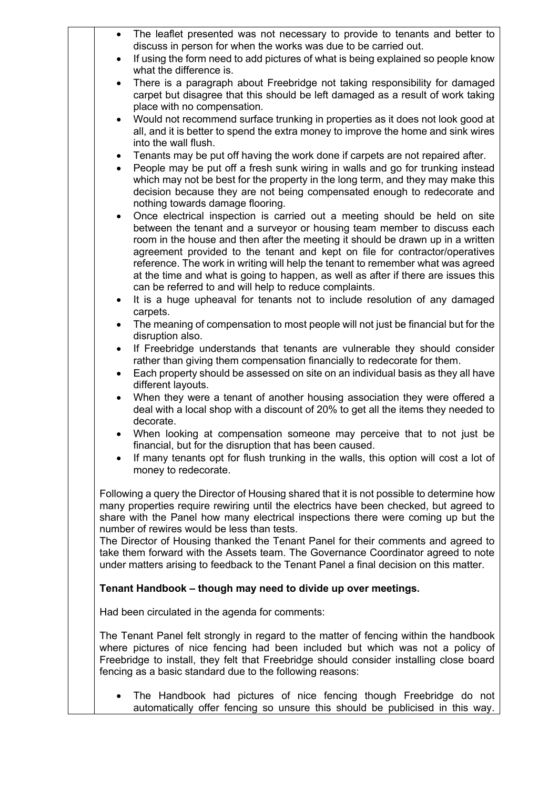| $\bullet$<br>$\bullet$ | The leaflet presented was not necessary to provide to tenants and better to<br>discuss in person for when the works was due to be carried out.<br>If using the form need to add pictures of what is being explained so people know                                                                                              |
|------------------------|---------------------------------------------------------------------------------------------------------------------------------------------------------------------------------------------------------------------------------------------------------------------------------------------------------------------------------|
| $\bullet$              | what the difference is.<br>There is a paragraph about Freebridge not taking responsibility for damaged                                                                                                                                                                                                                          |
|                        | carpet but disagree that this should be left damaged as a result of work taking<br>place with no compensation.                                                                                                                                                                                                                  |
|                        | Would not recommend surface trunking in properties as it does not look good at<br>all, and it is better to spend the extra money to improve the home and sink wires<br>into the wall flush.                                                                                                                                     |
| ٠                      | Tenants may be put off having the work done if carpets are not repaired after.                                                                                                                                                                                                                                                  |
| $\bullet$              | People may be put off a fresh sunk wiring in walls and go for trunking instead                                                                                                                                                                                                                                                  |
|                        | which may not be best for the property in the long term, and they may make this<br>decision because they are not being compensated enough to redecorate and<br>nothing towards damage flooring.                                                                                                                                 |
| ٠                      | Once electrical inspection is carried out a meeting should be held on site<br>between the tenant and a surveyor or housing team member to discuss each                                                                                                                                                                          |
|                        | room in the house and then after the meeting it should be drawn up in a written<br>agreement provided to the tenant and kept on file for contractor/operatives                                                                                                                                                                  |
|                        | reference. The work in writing will help the tenant to remember what was agreed                                                                                                                                                                                                                                                 |
|                        | at the time and what is going to happen, as well as after if there are issues this<br>can be referred to and will help to reduce complaints.                                                                                                                                                                                    |
| ٠                      | It is a huge upheaval for tenants not to include resolution of any damaged<br>carpets.                                                                                                                                                                                                                                          |
| $\bullet$              | The meaning of compensation to most people will not just be financial but for the<br>disruption also.                                                                                                                                                                                                                           |
| $\bullet$              | If Freebridge understands that tenants are vulnerable they should consider<br>rather than giving them compensation financially to redecorate for them.                                                                                                                                                                          |
| $\bullet$              | Each property should be assessed on site on an individual basis as they all have<br>different layouts.                                                                                                                                                                                                                          |
| $\bullet$              | When they were a tenant of another housing association they were offered a                                                                                                                                                                                                                                                      |
|                        | deal with a local shop with a discount of 20% to get all the items they needed to<br>decorate.                                                                                                                                                                                                                                  |
|                        | When looking at compensation someone may perceive that to not just be<br>financial, but for the disruption that has been caused.                                                                                                                                                                                                |
|                        | If many tenants opt for flush trunking in the walls, this option will cost a lot of<br>money to redecorate.                                                                                                                                                                                                                     |
|                        | Following a query the Director of Housing shared that it is not possible to determine how<br>many properties require rewiring until the electrics have been checked, but agreed to<br>share with the Panel how many electrical inspections there were coming up but the<br>number of rewires would be less than tests.          |
|                        | The Director of Housing thanked the Tenant Panel for their comments and agreed to<br>take them forward with the Assets team. The Governance Coordinator agreed to note<br>under matters arising to feedback to the Tenant Panel a final decision on this matter.                                                                |
|                        | Tenant Handbook - though may need to divide up over meetings.                                                                                                                                                                                                                                                                   |
|                        | Had been circulated in the agenda for comments:                                                                                                                                                                                                                                                                                 |
|                        | The Tenant Panel felt strongly in regard to the matter of fencing within the handbook<br>where pictures of nice fencing had been included but which was not a policy of<br>Freebridge to install, they felt that Freebridge should consider installing close board<br>fencing as a basic standard due to the following reasons: |
| ٠                      | The Handbook had pictures of nice fencing though Freebridge do not<br>automatically offer fencing so unsure this should be publicised in this way.                                                                                                                                                                              |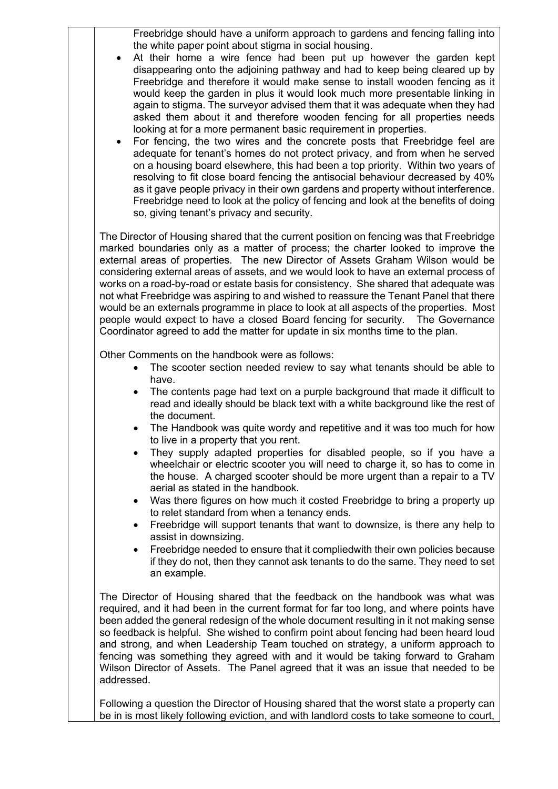Freebridge should have a uniform approach to gardens and fencing falling into the white paper point about stigma in social housing.

- At their home a wire fence had been put up however the garden kept disappearing onto the adjoining pathway and had to keep being cleared up by Freebridge and therefore it would make sense to install wooden fencing as it would keep the garden in plus it would look much more presentable linking in again to stigma. The surveyor advised them that it was adequate when they had asked them about it and therefore wooden fencing for all properties needs looking at for a more permanent basic requirement in properties.
- For fencing, the two wires and the concrete posts that Freebridge feel are adequate for tenant's homes do not protect privacy, and from when he served on a housing board elsewhere, this had been a top priority. Within two years of resolving to fit close board fencing the antisocial behaviour decreased by 40% as it gave people privacy in their own gardens and property without interference. Freebridge need to look at the policy of fencing and look at the benefits of doing so, giving tenant's privacy and security.

The Director of Housing shared that the current position on fencing was that Freebridge marked boundaries only as a matter of process; the charter looked to improve the external areas of properties. The new Director of Assets Graham Wilson would be considering external areas of assets, and we would look to have an external process of works on a road-by-road or estate basis for consistency. She shared that adequate was not what Freebridge was aspiring to and wished to reassure the Tenant Panel that there would be an externals programme in place to look at all aspects of the properties. Most people would expect to have a closed Board fencing for security. The Governance Coordinator agreed to add the matter for update in six months time to the plan.

Other Comments on the handbook were as follows:

- The scooter section needed review to say what tenants should be able to have.
- The contents page had text on a purple background that made it difficult to read and ideally should be black text with a white background like the rest of the document.
- The Handbook was quite wordy and repetitive and it was too much for how to live in a property that you rent.
- They supply adapted properties for disabled people, so if you have a wheelchair or electric scooter you will need to charge it, so has to come in the house. A charged scooter should be more urgent than a repair to a TV aerial as stated in the handbook.
- Was there figures on how much it costed Freebridge to bring a property up to relet standard from when a tenancy ends.
- Freebridge will support tenants that want to downsize, is there any help to assist in downsizing.
- Freebridge needed to ensure that it compliedwith their own policies because if they do not, then they cannot ask tenants to do the same. They need to set an example.

The Director of Housing shared that the feedback on the handbook was what was required, and it had been in the current format for far too long, and where points have been added the general redesign of the whole document resulting in it not making sense so feedback is helpful. She wished to confirm point about fencing had been heard loud and strong, and when Leadership Team touched on strategy, a uniform approach to fencing was something they agreed with and it would be taking forward to Graham Wilson Director of Assets. The Panel agreed that it was an issue that needed to be addressed.

Following a question the Director of Housing shared that the worst state a property can be in is most likely following eviction, and with landlord costs to take someone to court,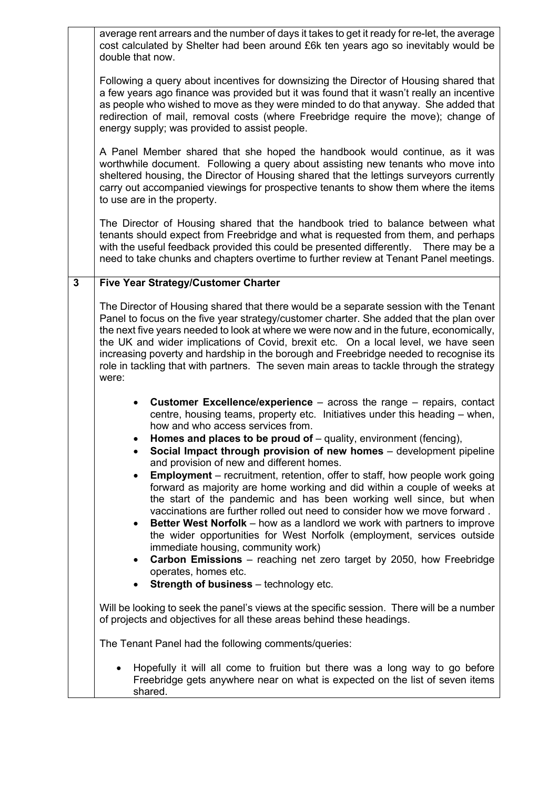|              | average rent arrears and the number of days it takes to get it ready for re-let, the average<br>cost calculated by Shelter had been around £6k ten years ago so inevitably would be<br>double that now.                                                                                                                                                                                                                                                                                                                                                                                                                                                                       |
|--------------|-------------------------------------------------------------------------------------------------------------------------------------------------------------------------------------------------------------------------------------------------------------------------------------------------------------------------------------------------------------------------------------------------------------------------------------------------------------------------------------------------------------------------------------------------------------------------------------------------------------------------------------------------------------------------------|
|              | Following a query about incentives for downsizing the Director of Housing shared that<br>a few years ago finance was provided but it was found that it wasn't really an incentive<br>as people who wished to move as they were minded to do that anyway. She added that<br>redirection of mail, removal costs (where Freebridge require the move); change of<br>energy supply; was provided to assist people.                                                                                                                                                                                                                                                                 |
|              | A Panel Member shared that she hoped the handbook would continue, as it was<br>worthwhile document. Following a query about assisting new tenants who move into<br>sheltered housing, the Director of Housing shared that the lettings surveyors currently<br>carry out accompanied viewings for prospective tenants to show them where the items<br>to use are in the property.                                                                                                                                                                                                                                                                                              |
|              | The Director of Housing shared that the handbook tried to balance between what<br>tenants should expect from Freebridge and what is requested from them, and perhaps<br>with the useful feedback provided this could be presented differently.<br>There may be a<br>need to take chunks and chapters overtime to further review at Tenant Panel meetings.                                                                                                                                                                                                                                                                                                                     |
| $\mathbf{3}$ | <b>Five Year Strategy/Customer Charter</b>                                                                                                                                                                                                                                                                                                                                                                                                                                                                                                                                                                                                                                    |
|              | The Director of Housing shared that there would be a separate session with the Tenant<br>Panel to focus on the five year strategy/customer charter. She added that the plan over<br>the next five years needed to look at where we were now and in the future, economically,<br>the UK and wider implications of Covid, brexit etc. On a local level, we have seen<br>increasing poverty and hardship in the borough and Freebridge needed to recognise its<br>role in tackling that with partners. The seven main areas to tackle through the strategy<br>were:                                                                                                              |
|              | <b>Customer Excellence/experience</b> $-$ across the range $-$ repairs, contact<br>centre, housing teams, property etc. Initiatives under this heading – when,<br>how and who access services from.<br>Homes and places to be proud of $-$ quality, environment (fencing),<br>Social Impact through provision of new homes - development pipeline                                                                                                                                                                                                                                                                                                                             |
|              | and provision of new and different homes.<br><b>Employment</b> – recruitment, retention, offer to staff, how people work going<br>forward as majority are home working and did within a couple of weeks at<br>the start of the pandemic and has been working well since, but when<br>vaccinations are further rolled out need to consider how we move forward.<br><b>Better West Norfolk</b> – how as a landlord we work with partners to improve<br>$\bullet$<br>the wider opportunities for West Norfolk (employment, services outside<br>immediate housing, community work)<br>Carbon Emissions - reaching net zero target by 2050, how Freebridge<br>operates, homes etc. |
|              | <b>Strength of business</b> - technology etc.                                                                                                                                                                                                                                                                                                                                                                                                                                                                                                                                                                                                                                 |
|              | Will be looking to seek the panel's views at the specific session. There will be a number<br>of projects and objectives for all these areas behind these headings.                                                                                                                                                                                                                                                                                                                                                                                                                                                                                                            |
|              | The Tenant Panel had the following comments/queries:                                                                                                                                                                                                                                                                                                                                                                                                                                                                                                                                                                                                                          |
|              | Hopefully it will all come to fruition but there was a long way to go before<br>Freebridge gets anywhere near on what is expected on the list of seven items<br>shared.                                                                                                                                                                                                                                                                                                                                                                                                                                                                                                       |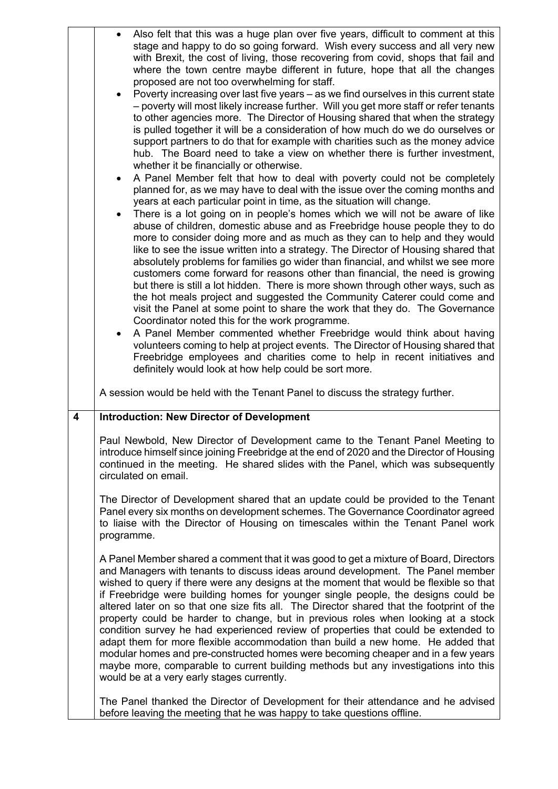|   | Also felt that this was a huge plan over five years, difficult to comment at this<br>stage and happy to do so going forward. Wish every success and all very new<br>with Brexit, the cost of living, those recovering from covid, shops that fail and<br>where the town centre maybe different in future, hope that all the changes<br>proposed are not too overwhelming for staff.<br>Poverty increasing over last five years - as we find ourselves in this current state<br>- poverty will most likely increase further. Will you get more staff or refer tenants<br>to other agencies more. The Director of Housing shared that when the strategy<br>is pulled together it will be a consideration of how much do we do ourselves or<br>support partners to do that for example with charities such as the money advice<br>hub. The Board need to take a view on whether there is further investment,<br>whether it be financially or otherwise.<br>A Panel Member felt that how to deal with poverty could not be completely<br>planned for, as we may have to deal with the issue over the coming months and<br>years at each particular point in time, as the situation will change.<br>There is a lot going on in people's homes which we will not be aware of like<br>abuse of children, domestic abuse and as Freebridge house people they to do<br>more to consider doing more and as much as they can to help and they would<br>like to see the issue written into a strategy. The Director of Housing shared that<br>absolutely problems for families go wider than financial, and whilst we see more<br>customers come forward for reasons other than financial, the need is growing<br>but there is still a lot hidden. There is more shown through other ways, such as<br>the hot meals project and suggested the Community Caterer could come and<br>visit the Panel at some point to share the work that they do. The Governance<br>Coordinator noted this for the work programme.<br>A Panel Member commented whether Freebridge would think about having<br>volunteers coming to help at project events. The Director of Housing shared that<br>Freebridge employees and charities come to help in recent initiatives and<br>definitely would look at how help could be sort more. |
|---|--------------------------------------------------------------------------------------------------------------------------------------------------------------------------------------------------------------------------------------------------------------------------------------------------------------------------------------------------------------------------------------------------------------------------------------------------------------------------------------------------------------------------------------------------------------------------------------------------------------------------------------------------------------------------------------------------------------------------------------------------------------------------------------------------------------------------------------------------------------------------------------------------------------------------------------------------------------------------------------------------------------------------------------------------------------------------------------------------------------------------------------------------------------------------------------------------------------------------------------------------------------------------------------------------------------------------------------------------------------------------------------------------------------------------------------------------------------------------------------------------------------------------------------------------------------------------------------------------------------------------------------------------------------------------------------------------------------------------------------------------------------------------------------------------------------------------------------------------------------------------------------------------------------------------------------------------------------------------------------------------------------------------------------------------------------------------------------------------------------------------------------------------------------------------------------------------------------------------------------------------------------------------------------------------------|
|   | A session would be held with the Tenant Panel to discuss the strategy further.                                                                                                                                                                                                                                                                                                                                                                                                                                                                                                                                                                                                                                                                                                                                                                                                                                                                                                                                                                                                                                                                                                                                                                                                                                                                                                                                                                                                                                                                                                                                                                                                                                                                                                                                                                                                                                                                                                                                                                                                                                                                                                                                                                                                                         |
| 4 | <b>Introduction: New Director of Development</b>                                                                                                                                                                                                                                                                                                                                                                                                                                                                                                                                                                                                                                                                                                                                                                                                                                                                                                                                                                                                                                                                                                                                                                                                                                                                                                                                                                                                                                                                                                                                                                                                                                                                                                                                                                                                                                                                                                                                                                                                                                                                                                                                                                                                                                                       |
|   | Paul Newbold, New Director of Development came to the Tenant Panel Meeting to<br>introduce himself since joining Freebridge at the end of 2020 and the Director of Housing<br>continued in the meeting. He shared slides with the Panel, which was subsequently<br>circulated on email.<br>The Director of Development shared that an update could be provided to the Tenant<br>Panel every six months on development schemes. The Governance Coordinator agreed                                                                                                                                                                                                                                                                                                                                                                                                                                                                                                                                                                                                                                                                                                                                                                                                                                                                                                                                                                                                                                                                                                                                                                                                                                                                                                                                                                                                                                                                                                                                                                                                                                                                                                                                                                                                                                       |
|   | to liaise with the Director of Housing on timescales within the Tenant Panel work<br>programme.                                                                                                                                                                                                                                                                                                                                                                                                                                                                                                                                                                                                                                                                                                                                                                                                                                                                                                                                                                                                                                                                                                                                                                                                                                                                                                                                                                                                                                                                                                                                                                                                                                                                                                                                                                                                                                                                                                                                                                                                                                                                                                                                                                                                        |
|   | A Panel Member shared a comment that it was good to get a mixture of Board, Directors<br>and Managers with tenants to discuss ideas around development. The Panel member<br>wished to query if there were any designs at the moment that would be flexible so that<br>if Freebridge were building homes for younger single people, the designs could be<br>altered later on so that one size fits all. The Director shared that the footprint of the<br>property could be harder to change, but in previous roles when looking at a stock<br>condition survey he had experienced review of properties that could be extended to<br>adapt them for more flexible accommodation than build a new home. He added that<br>modular homes and pre-constructed homes were becoming cheaper and in a few years<br>maybe more, comparable to current building methods but any investigations into this<br>would be at a very early stages currently.                                                                                                                                                                                                                                                                                                                                                                                                                                                                                                                                                                                                                                                                                                                                                                                                                                                                                                                                                                                                                                                                                                                                                                                                                                                                                                                                                            |
|   | The Panel thanked the Director of Development for their attendance and he advised<br>before leaving the meeting that he was happy to take questions offline.                                                                                                                                                                                                                                                                                                                                                                                                                                                                                                                                                                                                                                                                                                                                                                                                                                                                                                                                                                                                                                                                                                                                                                                                                                                                                                                                                                                                                                                                                                                                                                                                                                                                                                                                                                                                                                                                                                                                                                                                                                                                                                                                           |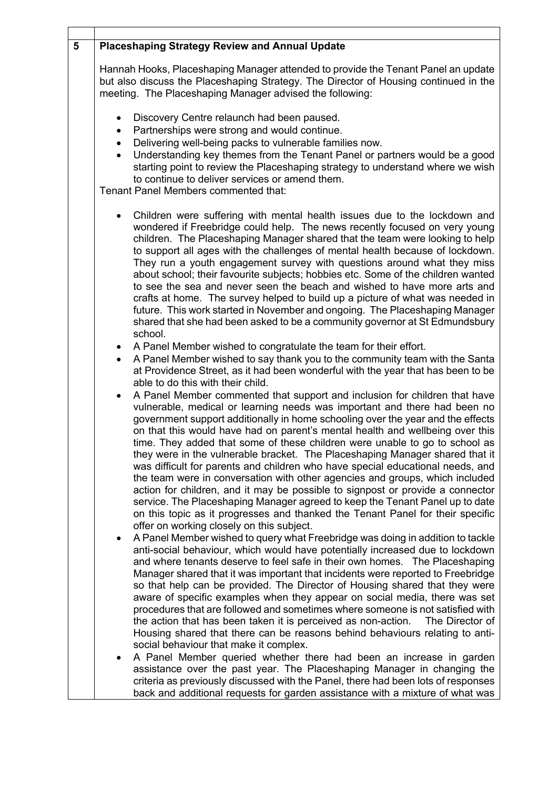| $5\phantom{1}$ | <b>Placeshaping Strategy Review and Annual Update</b>                                                                                                                                                                                                                                                                                                                                                                                                                                                                                                                                                                                                                                                                                                                                                                                                                                                                                                                                                                                                                                                                                                                                              |
|----------------|----------------------------------------------------------------------------------------------------------------------------------------------------------------------------------------------------------------------------------------------------------------------------------------------------------------------------------------------------------------------------------------------------------------------------------------------------------------------------------------------------------------------------------------------------------------------------------------------------------------------------------------------------------------------------------------------------------------------------------------------------------------------------------------------------------------------------------------------------------------------------------------------------------------------------------------------------------------------------------------------------------------------------------------------------------------------------------------------------------------------------------------------------------------------------------------------------|
|                | Hannah Hooks, Placeshaping Manager attended to provide the Tenant Panel an update<br>but also discuss the Placeshaping Strategy. The Director of Housing continued in the<br>meeting. The Placeshaping Manager advised the following:                                                                                                                                                                                                                                                                                                                                                                                                                                                                                                                                                                                                                                                                                                                                                                                                                                                                                                                                                              |
|                | Discovery Centre relaunch had been paused.<br>Partnerships were strong and would continue.<br>٠<br>Delivering well-being packs to vulnerable families now.<br>$\bullet$<br>Understanding key themes from the Tenant Panel or partners would be a good<br>$\bullet$<br>starting point to review the Placeshaping strategy to understand where we wish<br>to continue to deliver services or amend them.<br>Tenant Panel Members commented that:                                                                                                                                                                                                                                                                                                                                                                                                                                                                                                                                                                                                                                                                                                                                                     |
|                | Children were suffering with mental health issues due to the lockdown and<br>wondered if Freebridge could help. The news recently focused on very young<br>children. The Placeshaping Manager shared that the team were looking to help<br>to support all ages with the challenges of mental health because of lockdown.<br>They run a youth engagement survey with questions around what they miss<br>about school; their favourite subjects; hobbies etc. Some of the children wanted<br>to see the sea and never seen the beach and wished to have more arts and<br>crafts at home. The survey helped to build up a picture of what was needed in<br>future. This work started in November and ongoing. The Placeshaping Manager<br>shared that she had been asked to be a community governor at St Edmundsbury<br>school.<br>A Panel Member wished to congratulate the team for their effort.<br>$\bullet$<br>A Panel Member wished to say thank you to the community team with the Santa<br>$\bullet$                                                                                                                                                                                         |
|                | at Providence Street, as it had been wonderful with the year that has been to be<br>able to do this with their child.<br>A Panel Member commented that support and inclusion for children that have<br>$\bullet$<br>vulnerable, medical or learning needs was important and there had been no<br>government support additionally in home schooling over the year and the effects<br>on that this would have had on parent's mental health and wellbeing over this<br>time. They added that some of these children were unable to go to school as<br>they were in the vulnerable bracket. The Placeshaping Manager shared that it<br>was difficult for parents and children who have special educational needs, and<br>the team were in conversation with other agencies and groups, which included<br>action for children, and it may be possible to signpost or provide a connector<br>service. The Placeshaping Manager agreed to keep the Tenant Panel up to date<br>on this topic as it progresses and thanked the Tenant Panel for their specific<br>offer on working closely on this subject.<br>A Panel Member wished to query what Freebridge was doing in addition to tackle<br>$\bullet$ |
|                | anti-social behaviour, which would have potentially increased due to lockdown<br>and where tenants deserve to feel safe in their own homes.  The Placeshaping<br>Manager shared that it was important that incidents were reported to Freebridge<br>so that help can be provided. The Director of Housing shared that they were<br>aware of specific examples when they appear on social media, there was set<br>procedures that are followed and sometimes where someone is not satisfied with<br>the action that has been taken it is perceived as non-action.<br>The Director of<br>Housing shared that there can be reasons behind behaviours relating to anti-<br>social behaviour that make it complex.<br>A Panel Member queried whether there had been an increase in garden<br>٠<br>assistance over the past year. The Placeshaping Manager in changing the<br>criteria as previously discussed with the Panel, there had been lots of responses<br>back and additional requests for garden assistance with a mixture of what was                                                                                                                                                         |